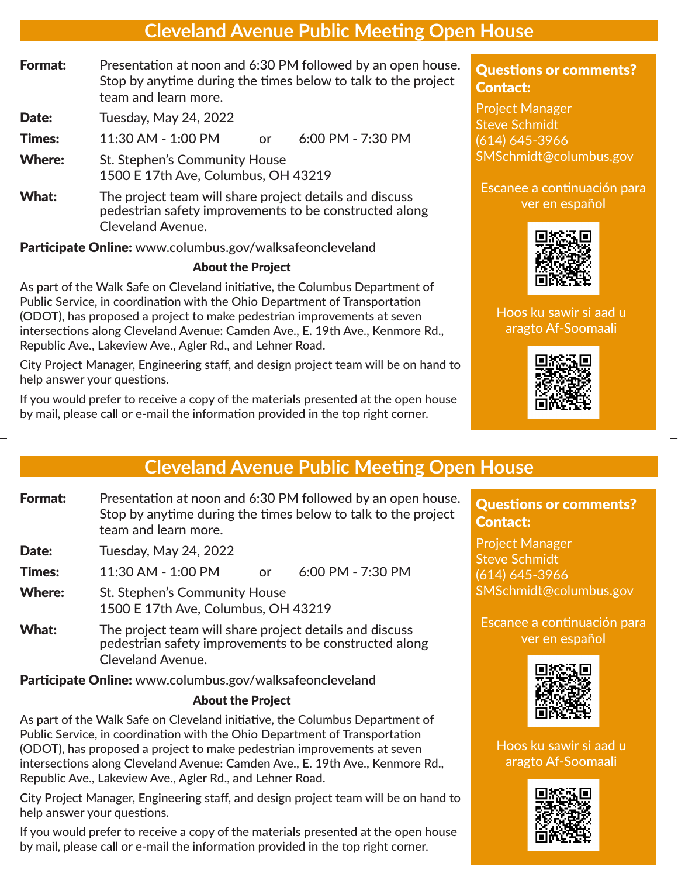## **Cleveland Avenue Public Meeting Open House**

**Format:** Presentation at noon and 6:30 PM followed by an open house. Stop by anytime during the times below to talk to the project team and learn more.

Date: Tuesday, May 24, 2022

Times: 11:30 AM - 1:00 PM or 6:00 PM - 7:30 PM

- Where: St. Stephen's Community House 1500 E 17th Ave, Columbus, OH 43219
- What: The project team will share project details and discuss pedestrian safety improvements to be constructed along Cleveland Avenue.

**Participate Online:** www.columbus.gov/walksafeoncleveland

### About the Project

As part of the Walk Safe on Cleveland initiative, the Columbus Department of Public Service, in coordination with the Ohio Department of Transportation (ODOT), has proposed a project to make pedestrian improvements at seven intersections along Cleveland Avenue: Camden Ave., E. 19th Ave., Kenmore Rd., Republic Ave., Lakeview Ave., Agler Rd., and Lehner Road.

City Project Manager, Engineering staff, and design project team will be on hand to help answer your questions.

If you would prefer to receive a copy of the materials presented at the open house by mail, please call or e-mail the information provided in the top right corner.

## Questions or comments? Contact:

Project Manager Steve Schmidt (614) 645-3966 SMSchmidt@columbus.gov

#### Escanee a continuación para ver en español



## Hoos ku sawir si aad u aragto Af-Soomaali



# **Cleveland Avenue Public Meeting Open House**

**Format:** Presentation at noon and 6:30 PM followed by an open house. Stop by anytime during the times below to talk to the project team and learn more.

Date: Tuesday, May 24, 2022

**Times:** 11:30 AM - 1:00 PM or 6:00 PM - 7:30 PM

- Where: St. Stephen's Community House 1500 E 17th Ave, Columbus, OH 43219
- What: The project team will share project details and discuss pedestrian safety improvements to be constructed along Cleveland Avenue.

Participate Online: www.columbus.gov/walksafeoncleveland

## About the Project

As part of the Walk Safe on Cleveland initiative, the Columbus Department of Public Service, in coordination with the Ohio Department of Transportation (ODOT), has proposed a project to make pedestrian improvements at seven intersections along Cleveland Avenue: Camden Ave., E. 19th Ave., Kenmore Rd., Republic Ave., Lakeview Ave., Agler Rd., and Lehner Road.

City Project Manager, Engineering staff, and design project team will be on hand to help answer your questions.

If you would prefer to receive a copy of the materials presented at the open house by mail, please call or e-mail the information provided in the top right corner.

Questions or comments? Contact:

Project Manager Steve Schmidt (614) 645-3966 SMSchmidt@columbus.gov

Escanee a continuación para ver en español



Hoos ku sawir si aad u aragto Af-Soomaali